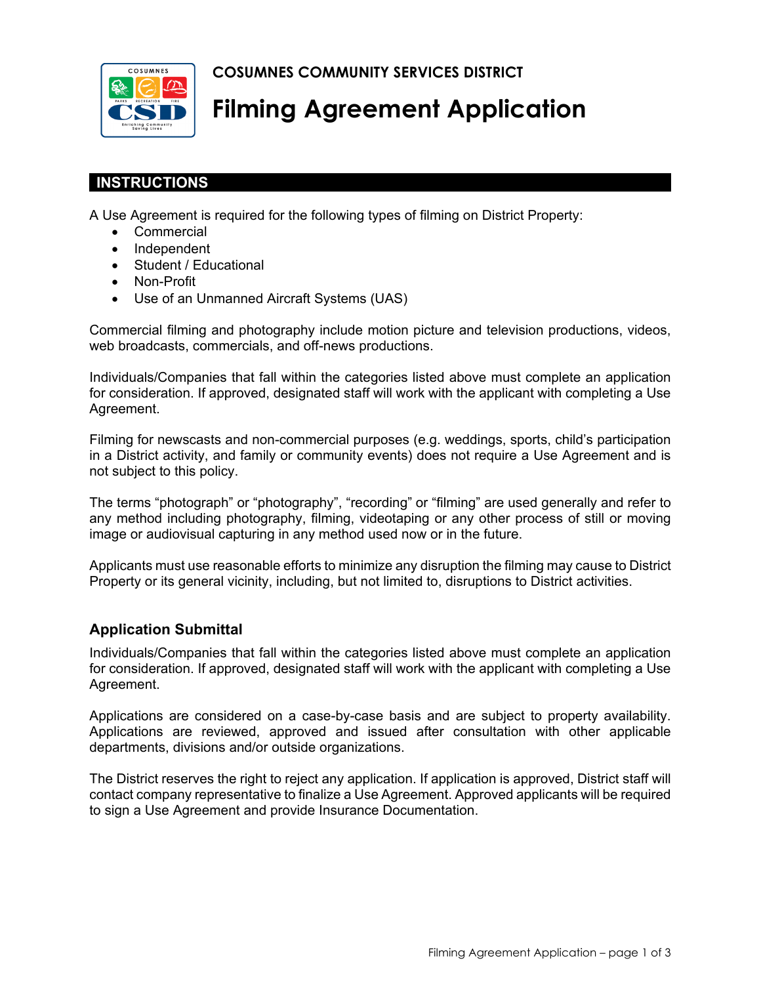**COSUMNES COMMUNITY SERVICES DISTRICT** 



# **Filming Agreement Application**

# **INSTRUCTIONS**

A Use Agreement is required for the following types of filming on District Property:

- Commercial
- Independent
- Student / Educational
- Non-Profit
- Use of an Unmanned Aircraft Systems (UAS)

Commercial filming and photography include motion picture and television productions, videos, web broadcasts, commercials, and off-news productions.

Individuals/Companies that fall within the categories listed above must complete an application for consideration. If approved, designated staff will work with the applicant with completing a Use Agreement.

Filming for newscasts and non-commercial purposes (e.g. weddings, sports, child's participation in a District activity, and family or community events) does not require a Use Agreement and is not subject to this policy.

The terms "photograph" or "photography", "recording" or "filming" are used generally and refer to any method including photography, filming, videotaping or any other process of still or moving image or audiovisual capturing in any method used now or in the future.

Applicants must use reasonable efforts to minimize any disruption the filming may cause to District Property or its general vicinity, including, but not limited to, disruptions to District activities.

## **Application Submittal**

Individuals/Companies that fall within the categories listed above must complete an application for consideration. If approved, designated staff will work with the applicant with completing a Use Agreement.

Applications are considered on a case-by-case basis and are subject to property availability. Applications are reviewed, approved and issued after consultation with other applicable departments, divisions and/or outside organizations.

The District reserves the right to reject any application. If application is approved, District staff will contact company representative to finalize a Use Agreement. Approved applicants will be required to sign a Use Agreement and provide Insurance Documentation.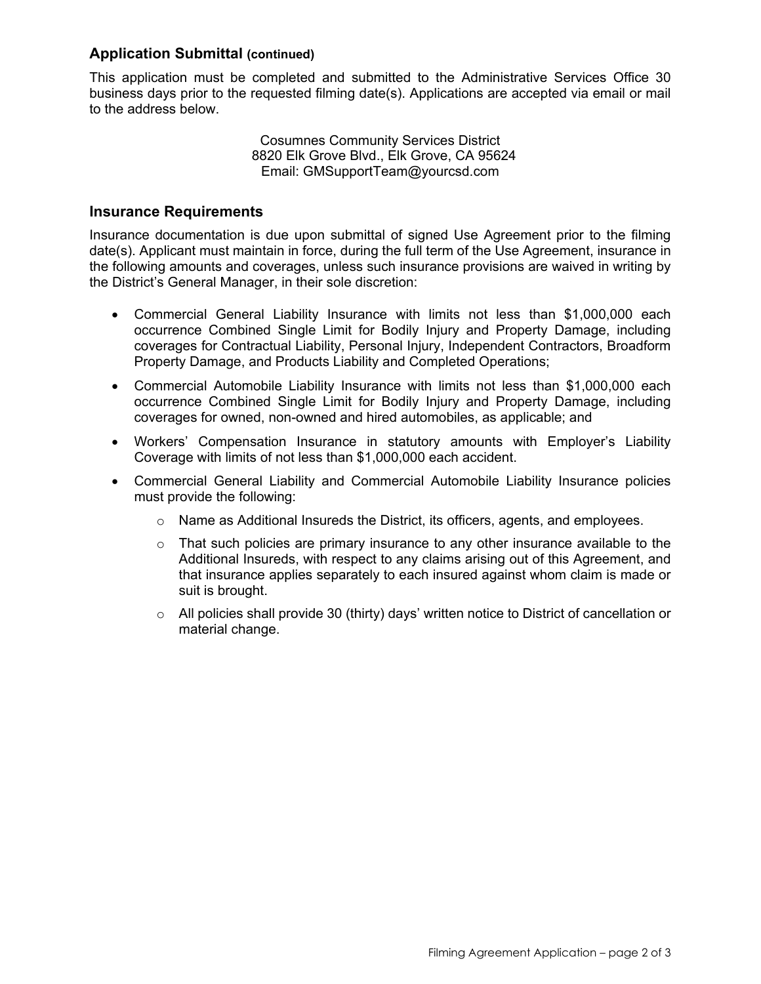### **Application Submittal (continued)**

This application must be completed and submitted to the Administrative Services Office 30 business days prior to the requested filming date(s). Applications are accepted via email or mail to the address below.

> Cosumnes Community Services District 8820 Elk Grove Blvd., Elk Grove, CA 95624 Email: GMSupportTeam@yourcsd.com

#### **Insurance Requirements**

Insurance documentation is due upon submittal of signed Use Agreement prior to the filming date(s). Applicant must maintain in force, during the full term of the Use Agreement, insurance in the following amounts and coverages, unless such insurance provisions are waived in writing by the District's General Manager, in their sole discretion:

- Commercial General Liability Insurance with limits not less than \$1,000,000 each occurrence Combined Single Limit for Bodily Injury and Property Damage, including coverages for Contractual Liability, Personal Injury, Independent Contractors, Broadform Property Damage, and Products Liability and Completed Operations;
- Commercial Automobile Liability Insurance with limits not less than \$1,000,000 each occurrence Combined Single Limit for Bodily Injury and Property Damage, including coverages for owned, non-owned and hired automobiles, as applicable; and
- Workers' Compensation Insurance in statutory amounts with Employer's Liability Coverage with limits of not less than \$1,000,000 each accident.
- Commercial General Liability and Commercial Automobile Liability Insurance policies must provide the following:
	- $\circ$  Name as Additional Insureds the District, its officers, agents, and employees.
	- $\circ$  That such policies are primary insurance to any other insurance available to the Additional Insureds, with respect to any claims arising out of this Agreement, and that insurance applies separately to each insured against whom claim is made or suit is brought.
	- $\circ$  All policies shall provide 30 (thirty) days' written notice to District of cancellation or material change.